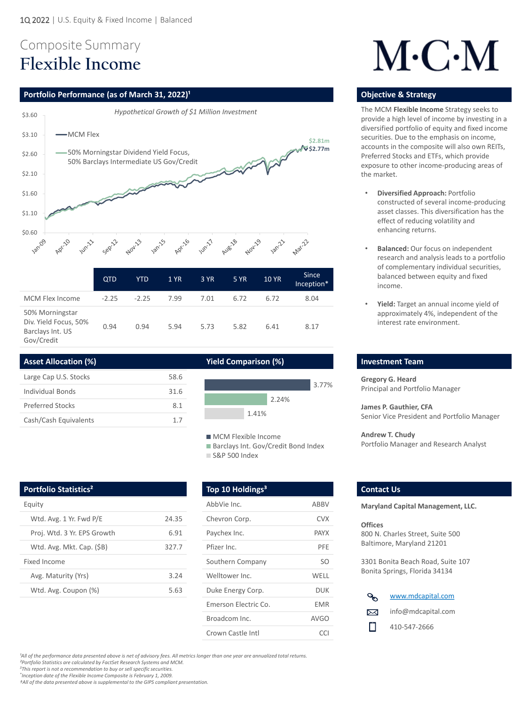# Composite Summary **Flexible Income**

## **Portfolio Performance (as of March 31, 2022)<sup>1</sup> <b>Discription Construction Construction Construction Construction Construction Construction Construction Construction Construction Construction Construction Construction Cons**



*²Portfolio Statistics are calculated by FactSet Research Systems and MCM.*

*<sup>3</sup>This report is not a recommendation to buy or sell specific securities.* 

*\* Inception date of the Flexible Income Composite is February 1, 2009.*

*†All of the data presented above is supplemental to the GIPS compliant presentation.*

| <b>MCM Flex Income</b>                                                     | $-2.25$ | $-2.25$ | 7.99 | 7.01 | 6.72 | 6.72 | 8.04 |
|----------------------------------------------------------------------------|---------|---------|------|------|------|------|------|
| 50% Morningstar<br>Div. Yield Focus, 50%<br>Barclays Int. US<br>Gov/Credit | 0.94    | 0.94    | 5.94 | 5.73 | 5.82 | 6.41 | 8.17 |

**Gregory G. Heard**  Principal and Portfolio Manager

**James P. Gauthier, CFA**  Senior Vice President and Portfolio Manager

### **Andrew T. Chudy**  Portfolio Manager and Research Analyst

| Large Cap U.S. Stocks   | 58.6 |
|-------------------------|------|
| Individual Bonds        | 31.6 |
| <b>Preferred Stocks</b> | 8.1  |
| Cash/Cash Equivalents   | 17   |

The MCM **Flexible Income** Strategy seeks to provide a high level of income by investing in a diversified portfolio of equity and fixed income securities. Due to the emphasis on income, accounts in the composite will also own REITs, Preferred Stocks and ETFs, which provide exposure to other income-producing areas of the market.

## **Investment Team**

- **Diversified Approach:** Portfolio constructed of several income-producing asset classes. This diversification has the effect of reducing volatility and enhancing returns.
- **Balanced:** Our focus on independent research and analysis leads to a portfolio of complementary individual securities, balanced between equity and fixed income.
- **Yield:** Target an annual income yield of approximately 4%, independent of the interest rate environment.

| $\mathcal{A}$ | www.mdcapital.com  |
|---------------|--------------------|
| ⊠             | info@mdcapital.com |
| H             | 410-547-2666       |

<sup>1</sup>All of the performance data presented above is net of advisory fees. All metrics longer than one year are annualized total returns.

**Maryland Capital Management, LLC.**

### **Offices**

800 N. Charles Street, Suite 500 Baltimore, Maryland 21201

3301 Bonita Beach Road, Suite 107 Bonita Springs, Florida 34134

## **Asset Allocation (%) Yield Comparison (%)**

| Equity                      |       | AbbVie Inc.        |
|-----------------------------|-------|--------------------|
| Wtd. Avg. 1 Yr. Fwd P/E     | 24.35 | Chevron Cor        |
| Proj. Wtd. 3 Yr. EPS Growth | 6.91  | Paychex Inc.       |
| Wtd. Avg. Mkt. Cap. (\$B)   | 327.7 | Pfizer Inc.        |
| <b>Fixed Income</b>         |       | Southern Co        |
| Avg. Maturity (Yrs)         | 3.24  | Welltower In       |
| Wtd. Avg. Coupon (%)        | 5.63  | Duke Energy        |
|                             |       | Emerson Ele        |
|                             |       | <b>Broadcom In</b> |
|                             |       |                    |



**MCM Flexible Income** ■ Barclays Int. Gov/Credit Bond Index S&P 500 Index

# $M \cdot C \cdot M$

| AbbVie Inc.          | <b>ABBV</b> |
|----------------------|-------------|
| Chevron Corp.        | CVX         |
| Paychex Inc.         | <b>PAYX</b> |
| Pfizer Inc.          | <b>PFE</b>  |
| Southern Company     | SO          |
| Welltower Inc.       | <b>WELL</b> |
| Duke Energy Corp.    | DUK         |
| Emerson Electric Co. | EMR         |
| Broadcom Inc.        | <b>AVGO</b> |
| Crown Castle Intl    | CCI         |